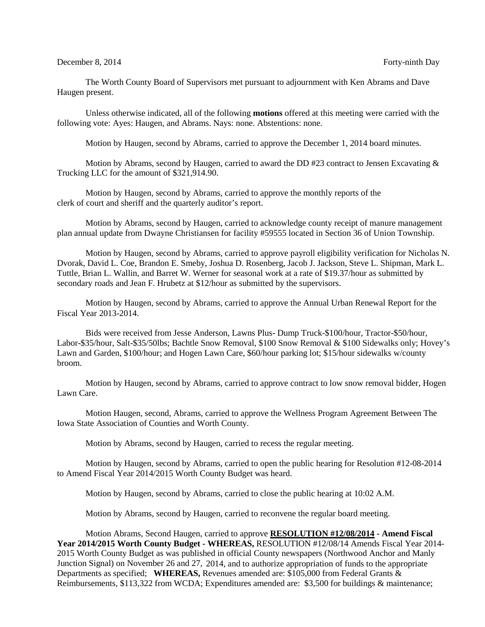## December 8, 2014 Forty-ninth Day

The Worth County Board of Supervisors met pursuant to adjournment with Ken Abrams and Dave Haugen present.

Unless otherwise indicated, all of the following **motions** offered at this meeting were carried with the following vote: Ayes: Haugen, and Abrams. Nays: none. Abstentions: none.

Motion by Haugen, second by Abrams, carried to approve the December 1, 2014 board minutes.

Motion by Abrams, second by Haugen, carried to award the DD #23 contract to Jensen Excavating  $\&$ Trucking LLC for the amount of \$321,914.90.

Motion by Haugen, second by Abrams, carried to approve the monthly reports of the clerk of court and sheriff and the quarterly auditor's report.

Motion by Abrams, second by Haugen, carried to acknowledge county receipt of manure management plan annual update from Dwayne Christiansen for facility #59555 located in Section 36 of Union Township.

Motion by Haugen, second by Abrams, carried to approve payroll eligibility verification for Nicholas N. Dvorak, David L. Coe, Brandon E. Smeby, Joshua D. Rosenberg, Jacob J. Jackson, Steve L. Shipman, Mark L. Tuttle, Brian L. Wallin, and Barret W. Werner for seasonal work at a rate of \$19.37/hour as submitted by secondary roads and Jean F. Hrubetz at \$12/hour as submitted by the supervisors.

Motion by Haugen, second by Abrams, carried to approve the Annual Urban Renewal Report for the Fiscal Year 2013-2014.

Bids were received from Jesse Anderson, Lawns Plus- Dump Truck-\$100/hour, Tractor-\$50/hour, Labor-\$35/hour, Salt-\$35/50lbs; Bachtle Snow Removal, \$100 Snow Removal & \$100 Sidewalks only; Hovey's Lawn and Garden, \$100/hour; and Hogen Lawn Care, \$60/hour parking lot; \$15/hour sidewalks w/county broom.

Motion by Haugen, second by Abrams, carried to approve contract to low snow removal bidder, Hogen Lawn Care.

Motion Haugen, second, Abrams, carried to approve the Wellness Program Agreement Between The Iowa State Association of Counties and Worth County.

Motion by Abrams, second by Haugen, carried to recess the regular meeting.

Motion by Haugen, second by Abrams, carried to open the public hearing for Resolution #12-08-2014 to Amend Fiscal Year 2014/2015 Worth County Budget was heard.

Motion by Haugen, second by Abrams, carried to close the public hearing at 10:02 A.M.

Motion by Abrams, second by Haugen, carried to reconvene the regular board meeting.

Motion Abrams, Second Haugen, carried to approve **RESOLUTION #12/08/2014 - Amend Fiscal Year 2014/2015 Worth County Budget - WHEREAS,** RESOLUTION #12/08/14 Amends Fiscal Year 2014- 2015 Worth County Budget as was published in official County newspapers (Northwood Anchor and Manly Junction Signal) on November 26 and 27, 2014, and to authorize appropriation of funds to the appropriate Departments as specified; **WHEREAS,** Revenues amended are: \$105,000 from Federal Grants & Reimbursements, \$113,322 from WCDA; Expenditures amended are: \$3,500 for buildings & maintenance;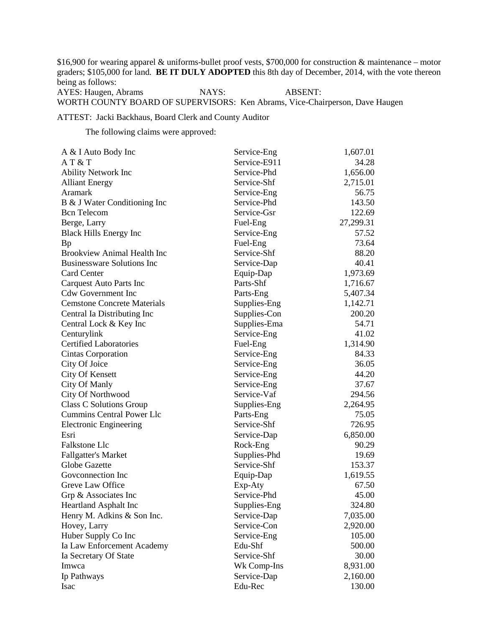\$16,900 for wearing apparel & uniforms-bullet proof vests, \$700,000 for construction & maintenance – motor graders; \$105,000 for land. **BE IT DULY ADOPTED** this 8th day of December, 2014, with the vote thereon being as follows: AYES: Haugen, Abrams NAYS: ABSENT:

WORTH COUNTY BOARD OF SUPERVISORS: Ken Abrams, Vice-Chairperson, Dave Haugen

ATTEST: Jacki Backhaus, Board Clerk and County Auditor

The following claims were approved:

| A & I Auto Body Inc                | Service-Eng  | 1,607.01  |
|------------------------------------|--------------|-----------|
| AT & T                             | Service-E911 | 34.28     |
| <b>Ability Network Inc</b>         | Service-Phd  | 1,656.00  |
| <b>Alliant Energy</b>              | Service-Shf  | 2,715.01  |
| Aramark                            | Service-Eng  | 56.75     |
| B & J Water Conditioning Inc       | Service-Phd  | 143.50    |
| <b>B</b> cn Telecom                | Service-Gsr  | 122.69    |
| Berge, Larry                       | Fuel-Eng     | 27,299.31 |
| <b>Black Hills Energy Inc</b>      | Service-Eng  | 57.52     |
| <b>Bp</b>                          | Fuel-Eng     | 73.64     |
| <b>Brookview Animal Health Inc</b> | Service-Shf  | 88.20     |
| <b>Businessware Solutions Inc</b>  | Service-Dap  | 40.41     |
| <b>Card Center</b>                 | Equip-Dap    | 1,973.69  |
| <b>Carquest Auto Parts Inc</b>     | Parts-Shf    | 1,716.67  |
| <b>Cdw Government Inc</b>          | Parts-Eng    | 5,407.34  |
| <b>Cemstone Concrete Materials</b> | Supplies-Eng | 1,142.71  |
| Central Ia Distributing Inc        | Supplies-Con | 200.20    |
| Central Lock & Key Inc             | Supplies-Ema | 54.71     |
| Centurylink                        | Service-Eng  | 41.02     |
| <b>Certified Laboratories</b>      | Fuel-Eng     | 1,314.90  |
| <b>Cintas Corporation</b>          | Service-Eng  | 84.33     |
| City Of Joice                      | Service-Eng  | 36.05     |
| <b>City Of Kensett</b>             | Service-Eng  | 44.20     |
| City Of Manly                      | Service-Eng  | 37.67     |
| City Of Northwood                  | Service-Vaf  | 294.56    |
| Class C Solutions Group            | Supplies-Eng | 2,264.95  |
| <b>Cummins Central Power Llc</b>   | Parts-Eng    | 75.05     |
| <b>Electronic Engineering</b>      | Service-Shf  | 726.95    |
| Esri                               | Service-Dap  | 6,850.00  |
| Falkstone Llc                      | Rock-Eng     | 90.29     |
| <b>Fallgatter's Market</b>         | Supplies-Phd | 19.69     |
| Globe Gazette                      | Service-Shf  | 153.37    |
| Goveonnection Inc                  | Equip-Dap    | 1,619.55  |
| Greve Law Office                   | Exp-Aty      | 67.50     |
| Grp & Associates Inc               | Service-Phd  | 45.00     |
| <b>Heartland Asphalt Inc</b>       | Supplies-Eng | 324.80    |
| Henry M. Adkins & Son Inc.         | Service-Dap  | 7,035.00  |
| Hovey, Larry                       | Service-Con  | 2,920.00  |
| Huber Supply Co Inc                | Service-Eng  | 105.00    |
| Ia Law Enforcement Academy         | Edu-Shf      | 500.00    |
| Ia Secretary Of State              | Service-Shf  | 30.00     |
| Imwca                              | Wk Comp-Ins  | 8,931.00  |
| Ip Pathways                        | Service-Dap  | 2,160.00  |
| Isac                               | Edu-Rec      | 130.00    |